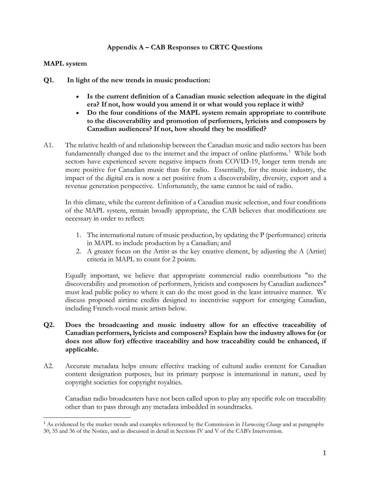# **Appendix A – CAB Responses to CRTC Questions**

#### **MAPL system**

- **Q1. In light of the new trends in music production:**
	- **Is the current definition of a Canadian music selection adequate in the digital era? If not, how would you amend it or what would you replace it with?**
	- **Do the four conditions of the MAPL system remain appropriate to contribute to the discoverability and promotion of performers, lyricists and composers by Canadian audiences? If not, how should they be modified?**
- A1. The relative health of and relationship between the Canadian music and radio sectors has been fundamentally changed due to the internet and the impact of online platforms.<sup>1</sup> While both sectors have experienced severe negative impacts from COVID-19, longer term trends are more positive for Canadian music than for radio. Essentially, for the music industry, the impact of the digital era is now a net positive from a discoverability, diversity, export and a revenue generation perspective. Unfortunately, the same cannot be said of radio.

In this climate, while the current definition of a Canadian music selection, and four conditions of the MAPL system, remain broadly appropriate, the CAB believes that modifications are necessary in order to reflect:

- 1. The international nature of music production, by updating the P (performance) criteria in MAPL to include production by a Canadian; and
- 2. A greater focus on the Artist as the key creative element, by adjusting the A (Artist) criteria in MAPL to count for 2 points.

Equally important, we believe that appropriate commercial radio contributions "to the discoverability and promotion of performers, lyricists and composers by Canadian audiences" must lead public policy to where it can do the most good in the least intrusive manner. We discuss proposed airtime credits designed to incentivise support for emerging Canadian, including French-vocal music artists below.

## **Q2. Does the broadcasting and music industry allow for an effective traceability of Canadian performers, lyricists and composers? Explain how the industry allows for (or does not allow for) effective traceability and how traceability could be enhanced, if applicable.**

A2. Accurate metadata helps ensure effective tracking of cultural audio content for Canadian content designation purposes, but its primary purpose is international in nature, used by copyright societies for copyright royalties.

Canadian radio broadcasters have not been called upon to play any specific role on traceability other than to pass through any metadata imbedded in soundtracks.

<sup>1</sup> As evidenced by the market trends and examples referenced by the Commission in *Harnessing Change* and at paragraphs 30, 35 and 36 of the Notice, and as discussed in detail in Sections IV and V of the CAB's Intervention.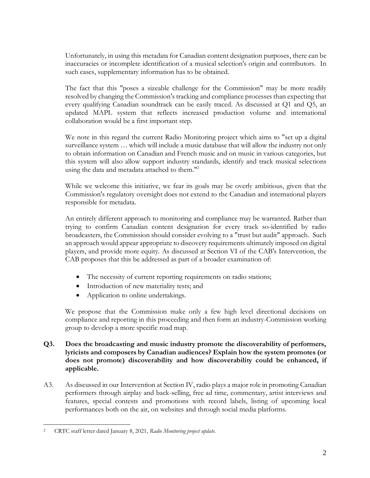Unfortunately, in using this metadata for Canadian content designation purposes, there can be inaccuracies or incomplete identification of a musical selection's origin and contributors. In such cases, supplementary information has to be obtained.

The fact that this "poses a sizeable challenge for the Commission" may be more readily resolved by changing the Commission's tracking and compliance processes than expecting that every qualifying Canadian soundtrack can be easily traced. As discussed at Q1 and Q5, an updated MAPL system that reflects increased production volume and international collaboration would be a first important step.

We note in this regard the current Radio Monitoring project which aims to "set up a digital surveillance system … which will include a music database that will allow the industry not only to obtain information on Canadian and French music and on music in various categories, but this system will also allow support industry standards, identify and track musical selections using the data and metadata attached to them."<sup>2</sup>

While we welcome this initiative, we fear its goals may be overly ambitious, given that the Commission's regulatory oversight does not extend to the Canadian and international players responsible for metadata.

An entirely different approach to monitoring and compliance may be warranted. Rather than trying to confirm Canadian content designation for every track so-identified by radio broadcasters, the Commission should consider evolving to a "trust but audit" approach. Such an approach would appear appropriate to discovery requirements ultimately imposed on digital players, and provide more equity. As discussed at Section VI of the CAB's Intervention, the CAB proposes that this be addressed as part of a broader examination of:

- The necessity of current reporting requirements on radio stations;
- Introduction of new materiality tests; and
- Application to online undertakings.

We propose that the Commission make only a few high level directional decisions on compliance and reporting in this proceeding and then form an industry-Commission working group to develop a more specific road map.

- **Q3. Does the broadcasting and music industry promote the discoverability of performers, lyricists and composers by Canadian audiences? Explain how the system promotes (or does not promote) discoverability and how discoverability could be enhanced, if applicable.**
- A3. As discussed in our Intervention at Section IV, radio plays a major role in promoting Canadian performers through airplay and back-selling, free ad time, commentary, artist interviews and features, special contests and promotions with record labels, listing of upcoming local performances both on the air, on websites and through social media platforms.

<sup>2</sup> CRTC staff letter dated January 8, 2021, *Radio Monitoring project update.*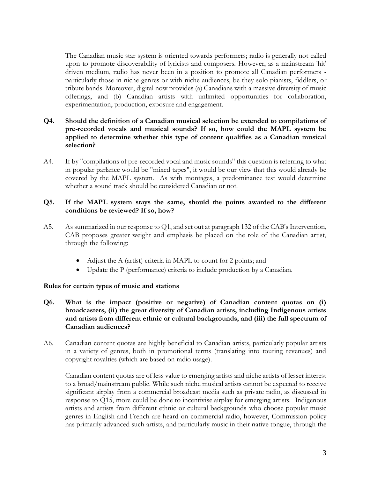The Canadian music star system is oriented towards performers; radio is generally not called upon to promote discoverability of lyricists and composers. However, as a mainstream 'hit' driven medium, radio has never been in a position to promote all Canadian performers particularly those in niche genres or with niche audiences, be they solo pianists, fiddlers, or tribute bands. Moreover, digital now provides (a) Canadians with a massive diversity of music offerings, and (b) Canadian artists with unlimited opportunities for collaboration, experimentation, production, exposure and engagement.

# **Q4. Should the definition of a Canadian musical selection be extended to compilations of pre-recorded vocals and musical sounds? If so, how could the MAPL system be applied to determine whether this type of content qualifies as a Canadian musical selection?**

A4. If by "compilations of pre-recorded vocal and music sounds" this question is referring to what in popular parlance would be "mixed tapes", it would be our view that this would already be covered by the MAPL system. As with montages, a predominance test would determine whether a sound track should be considered Canadian or not.

## **Q5. If the MAPL system stays the same, should the points awarded to the different conditions be reviewed? If so, how?**

- A5. As summarized in our response to Q1, and set out at paragraph 132 of the CAB's Intervention, CAB proposes greater weight and emphasis be placed on the role of the Canadian artist, through the following:
	- Adjust the A (artist) criteria in MAPL to count for 2 points; and
	- Update the P (performance) criteria to include production by a Canadian.

#### **Rules for certain types of music and stations**

- **Q6. What is the impact (positive or negative) of Canadian content quotas on (i) broadcasters, (ii) the great diversity of Canadian artists, including Indigenous artists and artists from different ethnic or cultural backgrounds, and (iii) the full spectrum of Canadian audiences?**
- A6. Canadian content quotas are highly beneficial to Canadian artists, particularly popular artists in a variety of genres, both in promotional terms (translating into touring revenues) and copyright royalties (which are based on radio usage).

Canadian content quotas are of less value to emerging artists and niche artists of lesser interest to a broad/mainstream public. While such niche musical artists cannot be expected to receive significant airplay from a commercial broadcast media such as private radio, as discussed in response to Q15, more could be done to incentivise airplay for emerging artists. Indigenous artists and artists from different ethnic or cultural backgrounds who choose popular music genres in English and French are heard on commercial radio, however, Commission policy has primarily advanced such artists, and particularly music in their native tongue, through the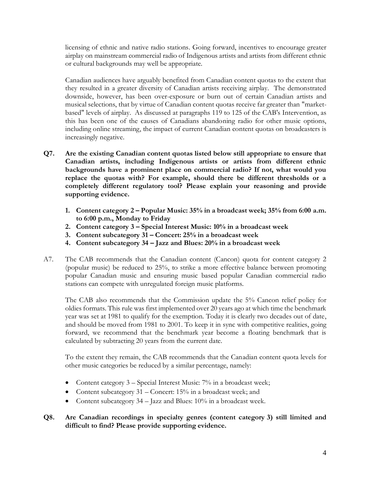licensing of ethnic and native radio stations. Going forward, incentives to encourage greater airplay on mainstream commercial radio of Indigenous artists and artists from different ethnic or cultural backgrounds may well be appropriate.

Canadian audiences have arguably benefited from Canadian content quotas to the extent that they resulted in a greater diversity of Canadian artists receiving airplay. The demonstrated downside, however, has been over-exposure or burn out of certain Canadian artists and musical selections, that by virtue of Canadian content quotas receive far greater than "marketbased" levels of airplay. As discussed at paragraphs 119 to 125 of the CAB's Intervention, as this has been one of the causes of Canadians abandoning radio for other music options, including online streaming, the impact of current Canadian content quotas on broadcasters is increasingly negative.

- **Q7. Are the existing Canadian content quotas listed below still appropriate to ensure that Canadian artists, including Indigenous artists or artists from different ethnic backgrounds have a prominent place on commercial radio? If not, what would you replace the quotas with? For example, should there be different thresholds or a completely different regulatory tool? Please explain your reasoning and provide supporting evidence.**
	- **1. Content category 2 – Popular Music: 35% in a broadcast week; 35% from 6:00 a.m. to 6:00 p.m., Monday to Friday**
	- **2. Content category 3 – Special Interest Music: 10% in a broadcast week**
	- **3. Content subcategory 31 – Concert: 25% in a broadcast week**
	- **4. Content subcategory 34 – Jazz and Blues: 20% in a broadcast week**
- A7. The CAB recommends that the Canadian content (Cancon) quota for content category 2 (popular music) be reduced to 25%, to strike a more effective balance between promoting popular Canadian music and ensuring music based popular Canadian commercial radio stations can compete with unregulated foreign music platforms.

The CAB also recommends that the Commission update the 5% Cancon relief policy for oldies formats. This rule was first implemented over 20 years ago at which time the benchmark year was set at 1981 to qualify for the exemption. Today it is clearly two decades out of date, and should be moved from 1981 to 2001. To keep it in sync with competitive realities, going forward, we recommend that the benchmark year become a floating benchmark that is calculated by subtracting 20 years from the current date.

To the extent they remain, the CAB recommends that the Canadian content quota levels for other music categories be reduced by a similar percentage, namely:

- Content category  $3$  Special Interest Music:  $7\%$  in a broadcast week;
- Content subcategory 31 Concert: 15% in a broadcast week; and
- Content subcategory  $34 \text{Jazz}$  and Blues:  $10\%$  in a broadcast week.

# **Q8. Are Canadian recordings in specialty genres (content category 3) still limited and difficult to find? Please provide supporting evidence.**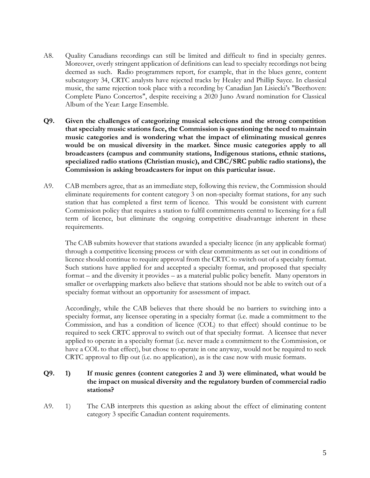- A8. Quality Canadians recordings can still be limited and difficult to find in specialty genres. Moreover, overly stringent application of definitions can lead to specialty recordings not being deemed as such. Radio programmers report, for example, that in the blues genre, content subcategory 34, CRTC analysts have rejected tracks by Healey and Phillip Sayce. In classical music, the same rejection took place with a recording by Canadian Jan Lisiecki's "Beethoven: Complete Piano Concertos", despite receiving a 2020 Juno Award nomination for Classical Album of the Year: Large Ensemble.
- **Q9. Given the challenges of categorizing musical selections and the strong competition that specialty music stations face, the Commission is questioning the need to maintain music categories and is wondering what the impact of eliminating musical genres would be on musical diversity in the market. Since music categories apply to all broadcasters (campus and community stations, Indigenous stations, ethnic stations, specialized radio stations (Christian music), and CBC/SRC public radio stations), the Commission is asking broadcasters for input on this particular issue.**
- A9. CAB members agree, that as an immediate step, following this review, the Commission should eliminate requirements for content category 3 on non-specialty format stations, for any such station that has completed a first term of licence. This would be consistent with current Commission policy that requires a station to fulfil commitments central to licensing for a full term of licence, but eliminate the ongoing competitive disadvantage inherent in these requirements.

The CAB submits however that stations awarded a specialty licence (in any applicable format) through a competitive licensing process or with clear commitments as set out in conditions of licence should continue to require approval from the CRTC to switch out of a specialty format. Such stations have applied for and accepted a specialty format, and proposed that specialty format – and the diversity it provides – as a material public policy benefit. Many operators in smaller or overlapping markets also believe that stations should not be able to switch out of a specialty format without an opportunity for assessment of impact.

Accordingly, while the CAB believes that there should be no barriers to switching into a specialty format, any licensee operating in a specialty format (i.e. made a commitment to the Commission, and has a condition of licence (COL) to that effect) should continue to be required to seek CRTC approval to switch out of that specialty format. A licensee that never applied to operate in a specialty format (i.e. never made a commitment to the Commission, or have a COL to that effect), but chose to operate in one anyway, would not be required to seek CRTC approval to flip out (i.e. no application), as is the case now with music formats.

# **Q9. 1) If music genres (content categories 2 and 3) were eliminated, what would be the impact on musical diversity and the regulatory burden of commercial radio stations?**

A9. 1) The CAB interprets this question as asking about the effect of eliminating content category 3 specific Canadian content requirements.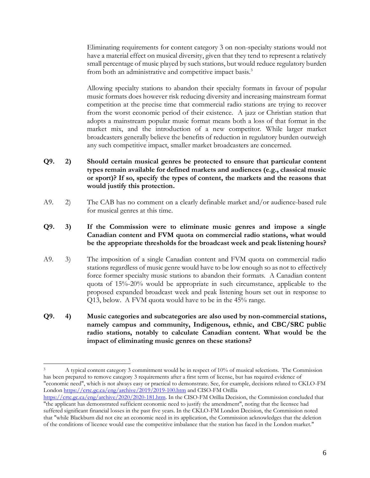Eliminating requirements for content category 3 on non-specialty stations would not have a material effect on musical diversity, given that they tend to represent a relatively small percentage of music played by such stations, but would reduce regulatory burden from both an administrative and competitive impact basis.<sup>3</sup>

Allowing specialty stations to abandon their specialty formats in favour of popular music formats does however risk reducing diversity and increasing mainstream format competition at the precise time that commercial radio stations are trying to recover from the worst economic period of their existence. A jazz or Christian station that adopts a mainstream popular music format means both a loss of that format in the market mix, and the introduction of a new competitor. While larger market broadcasters generally believe the benefits of reduction in regulatory burden outweigh any such competitive impact, smaller market broadcasters are concerned.

- **Q9. 2) Should certain musical genres be protected to ensure that particular content types remain available for defined markets and audiences (e.g., classical music or sport)? If so, specify the types of content, the markets and the reasons that would justify this protection.**
- A9. 2) The CAB has no comment on a clearly definable market and/or audience-based rule for musical genres at this time.
- **Q9. 3) If the Commission were to eliminate music genres and impose a single Canadian content and FVM quota on commercial radio stations, what would be the appropriate thresholds for the broadcast week and peak listening hours?**
- A9. 3) The imposition of a single Canadian content and FVM quota on commercial radio stations regardless of music genre would have to be low enough so as not to effectively force former specialty music stations to abandon their formats. A Canadian content quota of 15%-20% would be appropriate in such circumstance, applicable to the proposed expanded broadcast week and peak listening hours set out in response to Q13, below. A FVM quota would have to be in the 45% range.
- **Q9. 4) Music categories and subcategories are also used by non-commercial stations, namely campus and community, Indigenous, ethnic, and CBC/SRC public radio stations, notably to calculate Canadian content. What would be the impact of eliminating music genres on these stations?**

<sup>3</sup> A typical content category 3 commitment would be in respect of 10% of musical selections. The Commission has been prepared to remove category 3 requirements after a first term of license, but has required evidence of "economic need", which is not always easy or practical to demonstrate. See, for example, decisions related to CKLO-FM Londo[n https://crtc.gc.ca/eng/archive/2019/2019-100.htm](https://crtc.gc.ca/eng/archive/2019/2019-100.htm) and CISO-FM Orillia [https://crtc.gc.ca/eng/archive/2020/2020-181.htm.](https://crtc.gc.ca/eng/archive/2020/2020-181.htm) In the CISO-FM Orillia Decision, the Commission concluded that

<sup>&</sup>quot;the applicant has demonstrated sufficient economic need to justify the amendment", noting that the licensee had suffered significant financial losses in the past five years. In the CKLO-FM London Decision, the Commission noted that "while Blackburn did not cite an economic need in its application, the Commission acknowledges that the deletion of the conditions of licence would ease the competitive imbalance that the station has faced in the London market."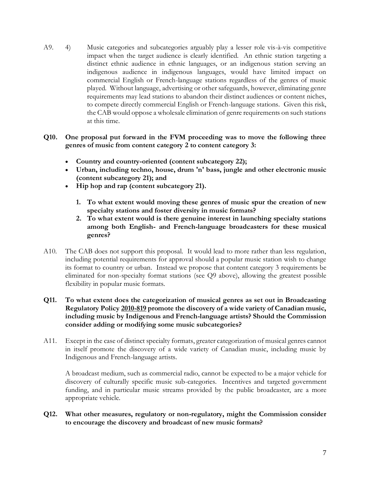A9. 4) Music categories and subcategories arguably play a lesser role vis-à-vis competitive impact when the target audience is clearly identified. An ethnic station targeting a distinct ethnic audience in ethnic languages, or an indigenous station serving an indigenous audience in indigenous languages, would have limited impact on commercial English or French-language stations regardless of the genres of music played. Without language, advertising or other safeguards, however, eliminating genre requirements may lead stations to abandon their distinct audiences or content niches, to compete directly commercial English or French-language stations. Given this risk, the CAB would oppose a wholesale elimination of genre requirements on such stations at this time.

## **Q10. One proposal put forward in the FVM proceeding was to move the following three genres of music from content category 2 to content category 3:**

- **Country and country-oriented (content subcategory 22);**
- **Urban, including techno, house, drum 'n' bass, jungle and other electronic music (content subcategory 21); and**
- **Hip hop and rap (content subcategory 21).**
	- **1. To what extent would moving these genres of music spur the creation of new specialty stations and foster diversity in music formats?**
	- **2. To what extent would is there genuine interest in launching specialty stations among both English- and French-language broadcasters for these musical genres?**
- A10. The CAB does not support this proposal. It would lead to more rather than less regulation, including potential requirements for approval should a popular music station wish to change its format to country or urban. Instead we propose that content category 3 requirements be eliminated for non-specialty format stations (see Q9 above), allowing the greatest possible flexibility in popular music formats.

## **Q11. To what extent does the categorization of musical genres as set out in Broadcasting Regulatory Policy [2010-819](https://crtc.gc.ca/eng/archive/2010/2010-819.htm) promote the discovery of a wide variety of Canadian music, including music by Indigenous and French-language artists? Should the Commission consider adding or modifying some music subcategories?**

A11. Except in the case of distinct specialty formats, greater categorization of musical genres cannot in itself promote the discovery of a wide variety of Canadian music, including music by Indigenous and French-language artists.

A broadcast medium, such as commercial radio, cannot be expected to be a major vehicle for discovery of culturally specific music sub-categories. Incentives and targeted government funding, and in particular music streams provided by the public broadcaster, are a more appropriate vehicle.

#### **Q12. What other measures, regulatory or non-regulatory, might the Commission consider to encourage the discovery and broadcast of new music formats?**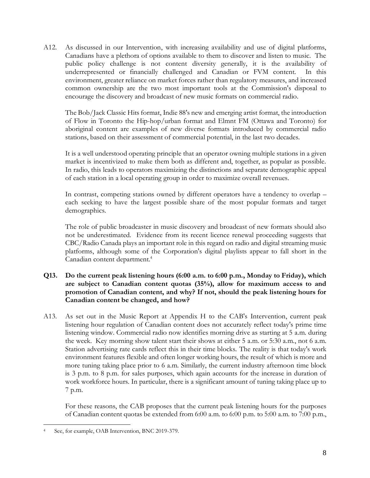A12. As discussed in our Intervention, with increasing availability and use of digital platforms, Canadians have a plethora of options available to them to discover and listen to music. The public policy challenge is not content diversity generally, it is the availability of underrepresented or financially challenged and Canadian or FVM content. In this environment, greater reliance on market forces rather than regulatory measures, and increased common ownership are the two most important tools at the Commission's disposal to encourage the discovery and broadcast of new music formats on commercial radio.

The Bob/Jack Classic Hits format, Indie 88's new and emerging artist format, the introduction of Flow in Toronto the Hip-hop/urban format and Elmnt FM (Ottawa and Toronto) for aboriginal content are examples of new diverse formats introduced by commercial radio stations, based on their assessment of commercial potential, in the last two decades.

It is a well understood operating principle that an operator owning multiple stations in a given market is incentivized to make them both as different and, together, as popular as possible. In radio, this leads to operators maximizing the distinctions and separate demographic appeal of each station in a local operating group in order to maximize overall revenues.

In contrast, competing stations owned by different operators have a tendency to overlap – each seeking to have the largest possible share of the most popular formats and target demographics.

The role of public broadcaster in music discovery and broadcast of new formats should also not be underestimated. Evidence from its recent licence renewal proceeding suggests that CBC/Radio Canada plays an important role in this regard on radio and digital streaming music platforms, although some of the Corporation's digital playlists appear to fall short in the Canadian content department.<sup>4</sup>

# **Q13. Do the current peak listening hours (6:00 a.m. to 6:00 p.m., Monday to Friday), which are subject to Canadian content quotas (35%), allow for maximum access to and promotion of Canadian content, and why? If not, should the peak listening hours for Canadian content be changed, and how?**

A13. As set out in the Music Report at Appendix H to the CAB's Intervention, current peak listening hour regulation of Canadian content does not accurately reflect today's prime time listening window. Commercial radio now identifies morning drive as starting at 5 a.m. during the week. Key morning show talent start their shows at either 5 a.m. or 5:30 a.m., not 6 a.m. Station advertising rate cards reflect this in their time blocks. The reality is that today's work environment features flexible and often longer working hours, the result of which is more and more tuning taking place prior to 6 a.m. Similarly, the current industry afternoon time block is 3 p.m. to 8 p.m. for sales purposes, which again accounts for the increase in duration of work workforce hours. In particular, there is a significant amount of tuning taking place up to 7 p.m.

For these reasons, the CAB proposes that the current peak listening hours for the purposes of Canadian content quotas be extended from 6:00 a.m. to 6:00 p.m. to 5:00 a.m. to 7:00 p.m.,

See, for example, OAB Intervention, BNC 2019-379.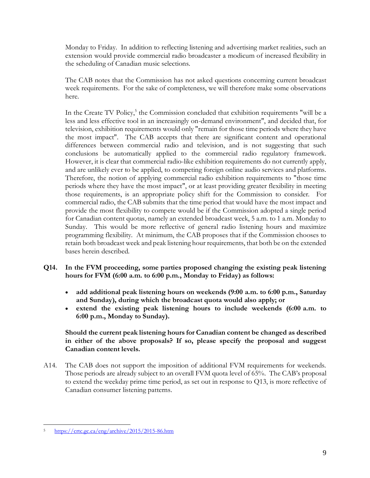Monday to Friday. In addition to reflecting listening and advertising market realities, such an extension would provide commercial radio broadcaster a modicum of increased flexibility in the scheduling of Canadian music selections.

The CAB notes that the Commission has not asked questions concerning current broadcast week requirements. For the sake of completeness, we will therefore make some observations here.

In the Create TV Policy,<sup>5</sup> the Commission concluded that exhibition requirements "will be a less and less effective tool in an increasingly on-demand environment", and decided that, for television, exhibition requirements would only "remain for those time periods where they have the most impact". The CAB accepts that there are significant content and operational differences between commercial radio and television, and is not suggesting that such conclusions be automatically applied to the commercial radio regulatory framework. However, it is clear that commercial radio-like exhibition requirements do not currently apply, and are unlikely ever to be applied, to competing foreign online audio services and platforms. Therefore, the notion of applying commercial radio exhibition requirements to "those time periods where they have the most impact", or at least providing greater flexibility in meeting those requirements, is an appropriate policy shift for the Commission to consider. For commercial radio, the CAB submits that the time period that would have the most impact and provide the most flexibility to compete would be if the Commission adopted a single period for Canadian content quotas, namely an extended broadcast week, 5 a.m. to 1 a.m. Monday to Sunday. This would be more reflective of general radio listening hours and maximize programming flexibility. At minimum, the CAB proposes that if the Commission chooses to retain both broadcast week and peak listening hour requirements, that both be on the extended bases herein described.

- **Q14. In the FVM proceeding, some parties proposed changing the existing peak listening hours for FVM (6:00 a.m. to 6:00 p.m., Monday to Friday) as follows:**
	- **add additional peak listening hours on weekends (9:00 a.m. to 6:00 p.m., Saturday and Sunday), during which the broadcast quota would also apply; or**
	- **extend the existing peak listening hours to include weekends (6:00 a.m. to 6:00 p.m., Monday to Sunday).**

# **Should the current peak listening hours for Canadian content be changed as described in either of the above proposals? If so, please specify the proposal and suggest Canadian content levels.**

A14. The CAB does not support the imposition of additional FVM requirements for weekends. Those periods are already subject to an overall FVM quota level of 65%. The CAB's proposal to extend the weekday prime time period, as set out in response to Q13, is more reflective of Canadian consumer listening patterns.

<sup>5</sup> <https://crtc.gc.ca/eng/archive/2015/2015-86.htm>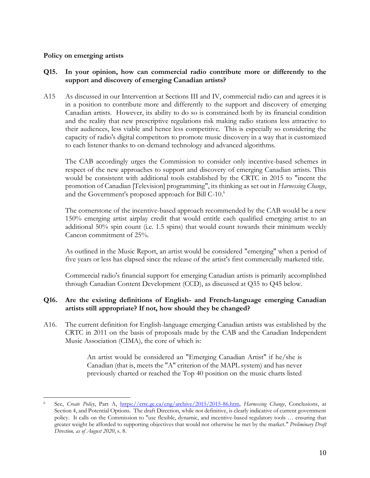#### **Policy on emerging artists**

## **Q15. In your opinion, how can commercial radio contribute more or differently to the support and discovery of emerging Canadian artists?**

A15 As discussed in our Intervention at Sections III and IV, commercial radio can and agrees it is in a position to contribute more and differently to the support and discovery of emerging Canadian artists. However, its ability to do so is constrained both by its financial condition and the reality that new prescriptive regulations risk making radio stations less attractive to their audiences, less viable and hence less competitive. This is especially so considering the capacity of radio's digital competitors to promote music discovery in a way that is customized to each listener thanks to on-demand technology and advanced algorithms.

The CAB accordingly urges the Commission to consider only incentive-based schemes in respect of the new approaches to support and discovery of emerging Canadian artists. This would be consistent with additional tools established by the CRTC in 2015 to "incent the promotion of Canadian [Television] programming", its thinking as set out in *Harnessing Change*, and the Government's proposed approach for Bill C-10.<sup>6</sup>

The cornerstone of the incentive-based approach recommended by the CAB would be a new 150% emerging artist airplay credit that would entitle each qualified emerging artist to an additional 50% spin count (i.e. 1.5 spins) that would count towards their minimum weekly Cancon commitment of 25%.

As outlined in the Music Report, an artist would be considered "emerging" when a period of five years or less has elapsed since the release of the artist's first commercially marketed title.

Commercial radio's financial support for emerging Canadian artists is primarily accomplished through Canadian Content Development (CCD), as discussed at Q35 to Q45 below.

# **Q16. Are the existing definitions of English- and French-language emerging Canadian artists still appropriate? If not, how should they be changed?**

A16. The current definition for English-language emerging Canadian artists was established by the CRTC in 2011 on the basis of proposals made by the CAB and the Canadian Independent Music Association (CIMA), the core of which is:

> An artist would be considered an "Emerging Canadian Artist" if he/she is Canadian (that is, meets the "A" criterion of the MAPL system) and has never previously charted or reached the Top 40 position on the music charts listed

<sup>6</sup> See, *Create Policy*, Part A, [https://crtc.gc.ca/eng/archive/2015/2015-86.htm,](https://crtc.gc.ca/eng/archive/2015/2015-86.htm) *Harnessing Change*, Conclusions, at Section 4, and Potential Options. The draft Direction, while not definitive, is clearly indicative of current government policy. It calls on the Commission to "use flexible, dynamic, and incentive-based regulatory tools … ensuring that greater weight be afforded to supporting objectives that would not otherwise be met by the market." *Preliminary Draft Direction, as of August 2020*, s. 8.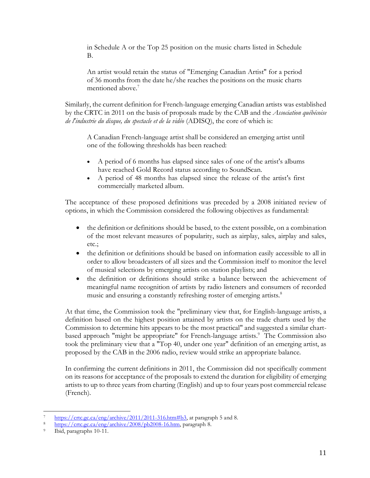in Schedule A or the Top 25 position on the music charts listed in Schedule B.

An artist would retain the status of "Emerging Canadian Artist" for a period of 36 months from the date he/she reaches the positions on the music charts mentioned above.<sup>7</sup>

Similarly, the current definition for French-language emerging Canadian artists was established by the CRTC in 2011 on the basis of proposals made by the CAB and the *Association québécoise de l'industrie du disque, du spectacle et de la vidéo* (ADISQ), the core of which is:

A Canadian French-language artist shall be considered an emerging artist until one of the following thresholds has been reached:

- A period of 6 months has elapsed since sales of one of the artist's albums have reached Gold Record status according to SoundScan.
- A period of 48 months has elapsed since the release of the artist's first commercially marketed album.

The acceptance of these proposed definitions was preceded by a 2008 initiated review of options, in which the Commission considered the following objectives as fundamental:

- the definition or definitions should be based, to the extent possible, on a combination of the most relevant measures of popularity, such as airplay, sales, airplay and sales, etc.;
- the definition or definitions should be based on information easily accessible to all in order to allow broadcasters of all sizes and the Commission itself to monitor the level of musical selections by emerging artists on station playlists; and
- the definition or definitions should strike a balance between the achievement of meaningful name recognition of artists by radio listeners and consumers of recorded music and ensuring a constantly refreshing roster of emerging artists.<sup>8</sup>

At that time, the Commission took the "preliminary view that, for English-language artists, a definition based on the highest position attained by artists on the trade charts used by the Commission to determine hits appears to be the most practical" and suggested a similar chartbased approach "might be appropriate" for French-language artists.<sup>9</sup> The Commission also took the preliminary view that a "Top 40, under one year" definition of an emerging artist, as proposed by the CAB in the 2006 radio, review would strike an appropriate balance.

In confirming the current definitions in 2011, the Commission did not specifically comment on its reasons for acceptance of the proposals to extend the duration for eligibility of emerging artists to up to three years from charting (English) and up to four years post commercial release (French).

[https://crtc.gc.ca/eng/archive/2011/2011-316.htm#b3,](https://crtc.gc.ca/eng/archive/2011/2011-316.htm#b3) at paragraph 5 and 8.

[https://crtc.gc.ca/eng/archive/2008/pb2008-16.htm,](https://crtc.gc.ca/eng/archive/2008/pb2008-16.htm) paragraph 8.

Ibid, paragraphs 10-11.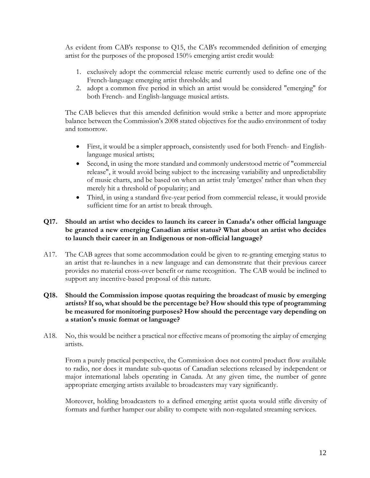As evident from CAB's response to Q15, the CAB's recommended definition of emerging artist for the purposes of the proposed 150% emerging artist credit would:

- 1. exclusively adopt the commercial release metric currently used to define one of the French-language emerging artist thresholds; and
- 2. adopt a common five period in which an artist would be considered "emerging" for both French- and English-language musical artists.

The CAB believes that this amended definition would strike a better and more appropriate balance between the Commission's 2008 stated objectives for the audio environment of today and tomorrow.

- First, it would be a simpler approach, consistently used for both French- and Englishlanguage musical artists;
- Second, in using the more standard and commonly understood metric of "commercial release", it would avoid being subject to the increasing variability and unpredictability of music charts, and be based on when an artist truly 'emerges' rather than when they merely hit a threshold of popularity; and
- Third, in using a standard five-year period from commercial release, it would provide sufficient time for an artist to break through.

# **Q17. Should an artist who decides to launch its career in Canada's other official language be granted a new emerging Canadian artist status? What about an artist who decides to launch their career in an Indigenous or non-official language?**

A17. The CAB agrees that some accommodation could be given to re-granting emerging status to an artist that re-launches in a new language and can demonstrate that their previous career provides no material cross-over benefit or name recognition. The CAB would be inclined to support any incentive-based proposal of this nature.

## **Q18. Should the Commission impose quotas requiring the broadcast of music by emerging artists? If so, what should be the percentage be? How should this type of programming be measured for monitoring purposes? How should the percentage vary depending on a station's music format or language?**

A18. No, this would be neither a practical nor effective means of promoting the airplay of emerging artists.

From a purely practical perspective, the Commission does not control product flow available to radio, nor does it mandate sub-quotas of Canadian selections released by independent or major international labels operating in Canada. At any given time, the number of genre appropriate emerging artists available to broadcasters may vary significantly.

Moreover, holding broadcasters to a defined emerging artist quota would stifle diversity of formats and further hamper our ability to compete with non-regulated streaming services.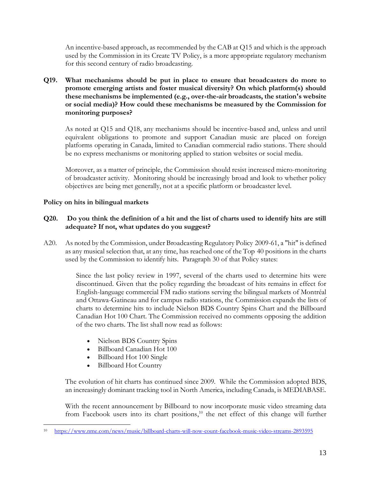An incentive-based approach, as recommended by the CAB at Q15 and which is the approach used by the Commission in its Create TV Policy, is a more appropriate regulatory mechanism for this second century of radio broadcasting.

**Q19. What mechanisms should be put in place to ensure that broadcasters do more to promote emerging artists and foster musical diversity? On which platform(s) should these mechanisms be implemented (e.g., over-the-air broadcasts, the station's website or social media)? How could these mechanisms be measured by the Commission for monitoring purposes?**

As noted at Q15 and Q18, any mechanisms should be incentive-based and, unless and until equivalent obligations to promote and support Canadian music are placed on foreign platforms operating in Canada, limited to Canadian commercial radio stations. There should be no express mechanisms or monitoring applied to station websites or social media.

Moreover, as a matter of principle, the Commission should resist increased micro-monitoring of broadcaster activity. Monitoring should be increasingly broad and look to whether policy objectives are being met generally, not at a specific platform or broadcaster level.

# **Policy on hits in bilingual markets**

# **Q20. Do you think the definition of a hit and the list of charts used to identify hits are still adequate? If not, what updates do you suggest?**

A20. As noted by the Commission, under Broadcasting Regulatory Policy [2009-61,](https://crtc.gc.ca/eng/archive/2009/2009-61.htm) a "hit" is defined as any musical selection that, at any time, has reached one of the Top 40 positions in the charts used by the Commission to identify hits. Paragraph 30 of that Policy states:

> Since the last policy review in 1997, several of the charts used to determine hits were discontinued. Given that the policy regarding the broadcast of hits remains in effect for English-language commercial FM radio stations serving the bilingual markets of Montréal and Ottawa-Gatineau and for campus radio stations, the Commission expands the lists of charts to determine hits to include Nielson BDS Country Spins Chart and the Billboard Canadian Hot 100 Chart. The Commission received no comments opposing the addition of the two charts. The list shall now read as follows:

- Nielson BDS Country Spins
- Billboard Canadian Hot 100
- Billboard Hot 100 Single
- Billboard Hot Country

The evolution of hit charts has continued since 2009. While the Commission adopted BDS, an increasingly dominant tracking tool in North America, including Canada, is MEDIABASE.

With the recent announcement by Billboard to now incorporate music video streaming data from Facebook users into its chart positions,<sup>10</sup> the net effect of this change will further

<sup>10</sup> <https://www.nme.com/news/music/billboard-charts-will-now-count-facebook-music-video-streams-2893595>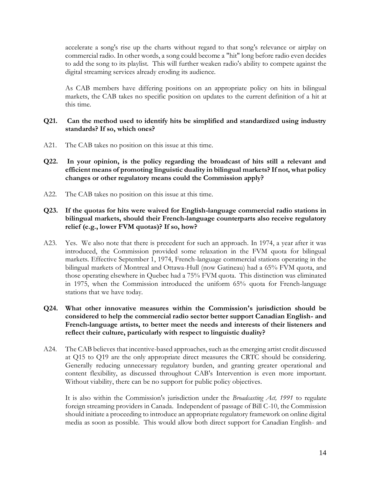accelerate a song's rise up the charts without regard to that song's relevance or airplay on commercial radio. In other words, a song could become a "hit" long before radio even decides to add the song to its playlist. This will further weaken radio's ability to compete against the digital streaming services already eroding its audience.

As CAB members have differing positions on an appropriate policy on hits in bilingual markets, the CAB takes no specific position on updates to the current definition of a hit at this time.

## **Q21. Can the method used to identify hits be simplified and standardized using industry standards? If so, which ones?**

- A21. The CAB takes no position on this issue at this time.
- **Q22. In your opinion, is the policy regarding the broadcast of hits still a relevant and efficient means of promoting linguistic duality in bilingual markets? If not, what policy changes or other regulatory means could the Commission apply?**
- A22. The CAB takes no position on this issue at this time.
- **Q23. If the quotas for hits were waived for English-language commercial radio stations in bilingual markets, should their French-language counterparts also receive regulatory relief (e.g., lower FVM quotas)? If so, how?**
- A23. Yes. We also note that there is precedent for such an approach. In 1974, a year after it was introduced, the Commission provided some relaxation in the FVM quota for bilingual markets. Effective September 1, 1974, French-language commercial stations operating in the bilingual markets of Montreal and Ottawa-Hull (now Gatineau) had a 65% FVM quota, and those operating elsewhere in Quebec had a 75% FVM quota. This distinction was eliminated in 1975, when the Commission introduced the uniform 65% quota for French-language stations that we have today.
- **Q24. What other innovative measures within the Commission's jurisdiction should be considered to help the commercial radio sector better support Canadian English- and French-language artists, to better meet the needs and interests of their listeners and reflect their culture, particularly with respect to linguistic duality?**
- A24. The CAB believes that incentive-based approaches, such as the emerging artist credit discussed at Q15 to Q19 are the only appropriate direct measures the CRTC should be considering. Generally reducing unnecessary regulatory burden, and granting greater operational and content flexibility, as discussed throughout CAB's Intervention is even more important. Without viability, there can be no support for public policy objectives.

It is also within the Commission's jurisdiction under the *Broadcasting Act, 1991* to regulate foreign streaming providers in Canada. Independent of passage of Bill C-10, the Commission should initiate a proceeding to introduce an appropriate regulatory framework on online digital media as soon as possible. This would allow both direct support for Canadian English- and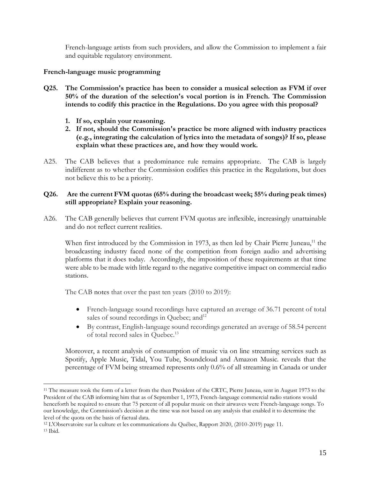French-language artists from such providers, and allow the Commission to implement a fair and equitable regulatory environment.

## **French-language music programming**

- **Q25. The Commission's practice has been to consider a musical selection as FVM if over 50% of the duration of the selection's vocal portion is in French. The Commission intends to codify this practice in the Regulations. Do you agree with this proposal?**
	- **1. If so, explain your reasoning.**
	- **2. If not, should the Commission's practice be more aligned with industry practices (e.g., integrating the calculation of lyrics into the metadata of songs)? If so, please explain what these practices are, and how they would work.**
- A25. The CAB believes that a predominance rule remains appropriate. The CAB is largely indifferent as to whether the Commission codifies this practice in the Regulations, but does not believe this to be a priority.

## **Q26. Are the current FVM quotas (65% during the broadcast week; 55% during peak times) still appropriate? Explain your reasoning.**

A26. The CAB generally believes that current FVM quotas are inflexible, increasingly unattainable and do not reflect current realities.

When first introduced by the Commission in 1973, as then led by Chair Pierre Juneau,<sup>11</sup> the broadcasting industry faced none of the competition from foreign audio and advertising platforms that it does today. Accordingly, the imposition of these requirements at that time were able to be made with little regard to the negative competitive impact on commercial radio stations.

The CAB notes that over the past ten years (2010 to 2019):

- French-language sound recordings have captured an average of 36.71 percent of total sales of sound recordings in Quebec; and<sup>12</sup>
- By contrast, English-language sound recordings generated an average of 58.54 percent of total record sales in Quebec.<sup>13</sup>

Moreover, a recent analysis of consumption of music via on line streaming services such as Spotify, Apple Music, Tidal, You Tube, Soundcloud and Amazon Music. reveals that the percentage of FVM being streamed represents only 0.6% of all streaming in Canada or under

<sup>11</sup> The measure took the form of a letter from the then President of the CRTC, Pierre Juneau, sent in August 1973 to the President of the CAB informing him that as of September 1, 1973, French-language commercial radio stations would henceforth be required to ensure that 75 percent of all popular music on their airwaves were French-language songs. To our knowledge, the Commission's decision at the time was not based on any analysis that enabled it to determine the level of the quota on the basis of factual data.

<sup>12</sup> L'Observatoire sur la culture et les communications du Québec, Rapport 2020, (2010-2019) page 11. <sup>13</sup> Ibid.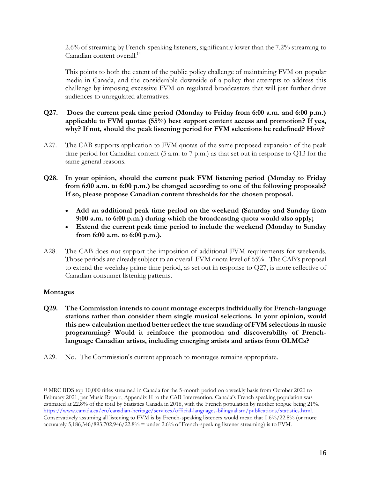2.6% of streaming by French-speaking listeners, significantly lower than the 7.2% streaming to Canadian content overall.<sup>14</sup>

This points to both the extent of the public policy challenge of maintaining FVM on popular media in Canada, and the considerable downside of a policy that attempts to address this challenge by imposing excessive FVM on regulated broadcasters that will just further drive audiences to unregulated alternatives.

# **Q27. Does the current peak time period (Monday to Friday from 6:00 a.m. and 6:00 p.m.) applicable to FVM quotas (55%) best support content access and promotion? If yes, why? If not, should the peak listening period for FVM selections be redefined? How?**

- A27. The CAB supports application to FVM quotas of the same proposed expansion of the peak time period for Canadian content (5 a.m. to 7 p.m.) as that set out in response to Q13 for the same general reasons.
- **Q28. In your opinion, should the current peak FVM listening period (Monday to Friday from 6:00 a.m. to 6:00 p.m.) be changed according to one of the following proposals? If so, please propose Canadian content thresholds for the chosen proposal.**
	- **Add an additional peak time period on the weekend (Saturday and Sunday from 9:00 a.m. to 6:00 p.m.) during which the broadcasting quota would also apply;**
	- **Extend the current peak time period to include the weekend (Monday to Sunday from 6:00 a.m. to 6:00 p.m.).**
- A28. The CAB does not support the imposition of additional FVM requirements for weekends. Those periods are already subject to an overall FVM quota level of 65%. The CAB's proposal to extend the weekday prime time period, as set out in response to Q27, is more reflective of Canadian consumer listening patterns.

#### **Montages**

- **Q29. The Commission intends to count montage excerpts individually for French-language stations rather than consider them single musical selections. In your opinion, would this new calculation method better reflect the true standing of FVM selections in music programming? Would it reinforce the promotion and discoverability of Frenchlanguage Canadian artists, including emerging artists and artists from OLMCs?**
- A29. No. The Commission's current approach to montages remains appropriate.

<sup>14</sup> MRC BDS top 10,000 titles streamed in Canada for the 5-month period on a weekly basis from October 2020 to February 2021, per Music Report, Appendix H to the CAB Intervention. Canada's French speaking population was estimated at 22.8% of the total by Statistics Canada in 2016, with the French population by mother tongue being 21%. [https://www.canada.ca/en/canadian-heritage/services/official-languages-bilingualism/publications/statistics.html.](https://www.canada.ca/en/canadian-heritage/services/official-languages-bilingualism/publications/statistics.html) Conservatively assuming all listening to FVM is by French-speaking listeners would mean that 0.6%/22.8% (or more accurately 5,186,346/893,702,946/22.8% = under 2.6% of French-speaking listener streaming) is to FVM.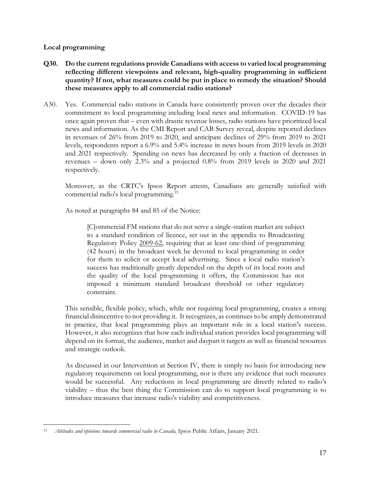## **Local programming**

- **Q30. Do the current regulations provide Canadians with access to varied local programming reflecting different viewpoints and relevant, high-quality programming in sufficient quantity? If not, what measures could be put in place to remedy the situation? Should these measures apply to all commercial radio stations?**
- A30. Yes. Commercial radio stations in Canada have consistently proven over the decades their commitment to local programming including local news and information. COVID-19 has once again proven that – even with drastic revenue losses, radio stations have prioritized local news and information. As the CMI Report and CAB Survey reveal, despite reported declines in revenues of 26% from 2019 to 2020, and anticipate declines of 29% from 2019 to 2021 levels, respondents report a 6.9% and 5.4% increase in news hours from 2019 levels in 2020 and 2021 respectively. Spending on news has decreased by only a fraction of decreases in revenues – down only 2.3% and a projected 0.8% from 2019 levels in 2020 and 2021 respectively.

Moreover, as the CRTC's Ipsos Report attests, Canadians are generally satisfied with commercial radio's local programming.<sup>15</sup>

As noted at paragraphs 84 and 85 of the Notice:

[C]ommercial FM stations that do not serve a single-station market are subject to a standard condition of licence, set out in the appendix to Broadcasting Regulatory Policy [2009-62,](https://crtc.gc.ca/eng/archive/2009/2009-62.htm) requiring that at least one-third of programming (42 hours) in the broadcast week be devoted to local programming in order for them to solicit or accept local advertising. Since a local radio station's success has traditionally greatly depended on the depth of its local roots and the quality of the local programming it offers, the Commission has not imposed a minimum standard broadcast threshold or other regulatory constraint.

This sensible, flexible policy, which, while not requiring local programming, creates a strong financial disincentive to not providing it. It recognizes, as continues to be amply demonstrated in practice, that local programming plays an important role in a local station's success. However, it also recognizes that how each individual station provides local programming will depend on its format, the audience, market and daypart it targets as well as financial resources and strategic outlook.

As discussed in our Intervention at Section IV, there is simply no basis for introducing new regulatory requirements on local programming, nor is there any evidence that such measures would be successful. Any reductions in local programming are directly related to radio's viability – thus the best thing the Commission can do to support local programming is to introduce measures that increase radio's viability and competitiveness.

<sup>15</sup> *Attitudes and opinions towards commercial radio in Canada,* Ipsos Public Affairs, January 2021.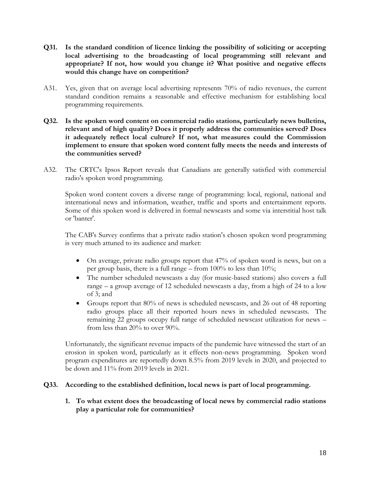- **Q31. Is the standard condition of licence linking the possibility of soliciting or accepting local advertising to the broadcasting of local programming still relevant and appropriate? If not, how would you change it? What positive and negative effects would this change have on competition?**
- A31. Yes, given that on average local advertising represents 70% of radio revenues, the current standard condition remains a reasonable and effective mechanism for establishing local programming requirements.
- **Q32. Is the spoken word content on commercial radio stations, particularly news bulletins, relevant and of high quality? Does it properly address the communities served? Does it adequately reflect local culture? If not, what measures could the Commission implement to ensure that spoken word content fully meets the needs and interests of the communities served?**
- A32. The CRTC's Ipsos Report reveals that Canadians are generally satisfied with commercial radio's spoken word programming.

Spoken word content covers a diverse range of programming: local, regional, national and international news and information, weather, traffic and sports and entertainment reports. Some of this spoken word is delivered in formal newscasts and some via interstitial host talk or 'banter'.

The CAB's Survey confirms that a private radio station's chosen spoken word programming is very much attuned to its audience and market:

- On average, private radio groups report that 47% of spoken word is news, but on a per group basis, there is a full range – from 100% to less than 10%;
- The number scheduled newscasts a day (for music-based stations) also covers a full range – a group average of 12 scheduled newscasts a day, from a high of 24 to a low of 3; and
- Groups report that 80% of news is scheduled newscasts, and 26 out of 48 reporting radio groups place all their reported hours news in scheduled newscasts. The remaining 22 groups occupy full range of scheduled newscast utilization for news – from less than 20% to over 90%.

Unfortunately, the significant revenue impacts of the pandemic have witnessed the start of an erosion in spoken word, particularly as it effects non-news programming. Spoken word program expenditures are reportedly down 8.5% from 2019 levels in 2020, and projected to be down and 11% from 2019 levels in 2021.

#### **Q33. According to the established definition, local news is part of local programming.**

**1. To what extent does the broadcasting of local news by commercial radio stations play a particular role for communities?**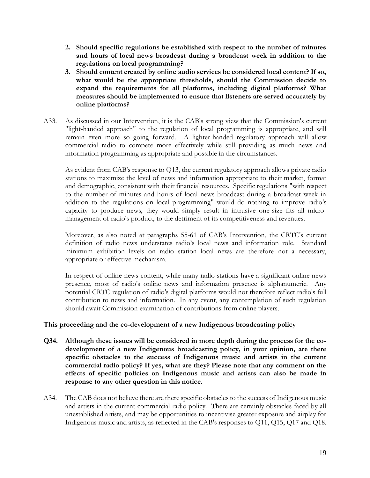- **2. Should specific regulations be established with respect to the number of minutes and hours of local news broadcast during a broadcast week in addition to the regulations on local programming?**
- **3. Should content created by online audio services be considered local content? If so, what would be the appropriate thresholds, should the Commission decide to expand the requirements for all platforms, including digital platforms? What measures should be implemented to ensure that listeners are served accurately by online platforms?**
- A33. As discussed in our Intervention, it is the CAB's strong view that the Commission's current "light-handed approach" to the regulation of local programming is appropriate, and will remain even more so going forward. A lighter-handed regulatory approach will allow commercial radio to compete more effectively while still providing as much news and information programming as appropriate and possible in the circumstances.

As evident from CAB's response to Q13, the current regulatory approach allows private radio stations to maximize the level of news and information appropriate to their market, format and demographic, consistent with their financial resources. Specific regulations "with respect to the number of minutes and hours of local news broadcast during a broadcast week in addition to the regulations on local programming" would do nothing to improve radio's capacity to produce news, they would simply result in intrusive one-size fits all micromanagement of radio's product, to the detriment of its competitiveness and revenues.

Moreover, as also noted at paragraphs 55-61 of CAB's Intervention, the CRTC's current definition of radio news understates radio's local news and information role. Standard minimum exhibition levels on radio station local news are therefore not a necessary, appropriate or effective mechanism.

In respect of online news content, while many radio stations have a significant online news presence, most of radio's online news and information presence is alphanumeric. Any potential CRTC regulation of radio's digital platforms would not therefore reflect radio's full contribution to news and information. In any event, any contemplation of such regulation should await Commission examination of contributions from online players.

#### **This proceeding and the co-development of a new Indigenous broadcasting policy**

- **Q34. Although these issues will be considered in more depth during the process for the codevelopment of a new Indigenous broadcasting policy, in your opinion, are there specific obstacles to the success of Indigenous music and artists in the current commercial radio policy? If yes, what are they? Please note that any comment on the effects of specific policies on Indigenous music and artists can also be made in response to any other question in this notice.**
- A34. The CAB does not believe there are there specific obstacles to the success of Indigenous music and artists in the current commercial radio policy. There are certainly obstacles faced by all unestablished artists, and may be opportunities to incentivise greater exposure and airplay for Indigenous music and artists, as reflected in the CAB's responses to Q11, Q15, Q17 and Q18.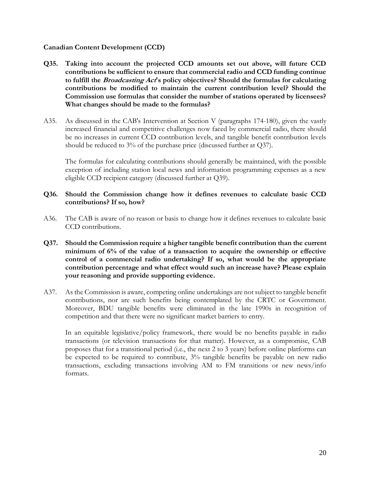#### **Canadian Content Development (CCD)**

- **Q35. Taking into account the projected CCD amounts set out above, will future CCD contributions be sufficient to ensure that commercial radio and CCD funding continue to fulfill the Broadcasting Act's policy objectives? Should the formulas for calculating contributions be modified to maintain the current contribution level? Should the Commission use formulas that consider the number of stations operated by licensees? What changes should be made to the formulas?**
- A35. As discussed in the CAB's Intervention at Section V (paragraphs 174-180), given the vastly increased financial and competitive challenges now faced by commercial radio, there should be no increases in current CCD contribution levels, and tangible benefit contribution levels should be reduced to 3% of the purchase price (discussed further at Q37).

The formulas for calculating contributions should generally be maintained, with the possible exception of including station local news and information programming expenses as a new eligible CCD recipient category (discussed further at Q39).

#### **Q36. Should the Commission change how it defines revenues to calculate basic CCD contributions? If so, how?**

- A36. The CAB is aware of no reason or basis to change how it defines revenues to calculate basic CCD contributions.
- **Q37. Should the Commission require a higher tangible benefit contribution than the current minimum of 6% of the value of a transaction to acquire the ownership or effective control of a commercial radio undertaking? If so, what would be the appropriate contribution percentage and what effect would such an increase have? Please explain your reasoning and provide supporting evidence.**
- A37. As the Commission is aware, competing online undertakings are not subject to tangible benefit contributions, nor are such benefits being contemplated by the CRTC or Government. Moreover, BDU tangible benefits were eliminated in the late 1990s in recognition of competition and that there were no significant market barriers to entry.

In an equitable legislative/policy framework, there would be no benefits payable in radio transactions (or television transactions for that matter). However, as a compromise, CAB proposes that for a transitional period (i.e., the next 2 to 3 years) before online platforms can be expected to be required to contribute,  $3\%$  tangible benefits be payable on new radio transactions, excluding transactions involving AM to FM transitions or new news/info formats.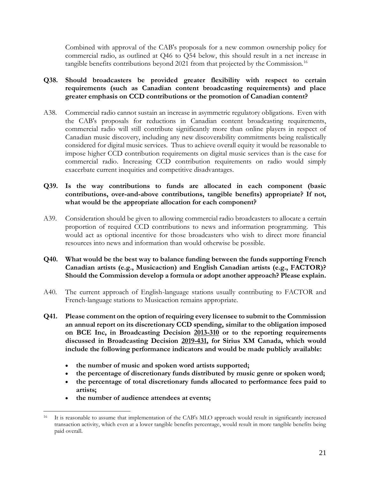Combined with approval of the CAB's proposals for a new common ownership policy for commercial radio, as outlined at Q46 to Q54 below, this should result in a net increase in tangible benefits contributions beyond 2021 from that projected by the Commission.<sup>16</sup>

# **Q38. Should broadcasters be provided greater flexibility with respect to certain requirements (such as Canadian content broadcasting requirements) and place greater emphasis on CCD contributions or the promotion of Canadian content?**

- A38. Commercial radio cannot sustain an increase in asymmetric regulatory obligations. Even with the CAB's proposals for reductions in Canadian content broadcasting requirements, commercial radio will still contribute significantly more than online players in respect of Canadian music discovery, including any new discoverability commitments being realistically considered for digital music services. Thus to achieve overall equity it would be reasonable to impose higher CCD contribution requirements on digital music services than is the case for commercial radio. Increasing CCD contribution requirements on radio would simply exacerbate current inequities and competitive disadvantages.
- **Q39. Is the way contributions to funds are allocated in each component (basic contributions, over-and-above contributions, tangible benefits) appropriate? If not, what would be the appropriate allocation for each component?**
- A39. Consideration should be given to allowing commercial radio broadcasters to allocate a certain proportion of required CCD contributions to news and information programming. This would act as optional incentive for those broadcasters who wish to direct more financial resources into news and information than would otherwise be possible.
- **Q40. What would be the best way to balance funding between the funds supporting French Canadian artists (e.g., Musicaction) and English Canadian artists (e.g., FACTOR)? Should the Commission develop a formula or adopt another approach? Please explain.**
- A40. The current approach of English-language stations usually contributing to FACTOR and French-language stations to Musicaction remains appropriate.
- **Q41. Please comment on the option of requiring every licensee to submit to the Commission an annual report on its discretionary CCD spending, similar to the obligation imposed on BCE Inc, in Broadcasting Decision [2013-310](https://crtc.gc.ca/eng/archive/2013/2013-310.htm) or to the reporting requirements discussed in Broadcasting Decision [2019-431,](https://crtc.gc.ca/eng/archive/2019/2019-431.htm) for Sirius XM Canada, which would include the following performance indicators and would be made publicly available:**
	- **the number of music and spoken word artists supported;**
	- **the percentage of discretionary funds distributed by music genre or spoken word;**
	- **the percentage of total discretionary funds allocated to performance fees paid to artists;**
	- **the number of audience attendees at events;**

<sup>16</sup> It is reasonable to assume that implementation of the CAB's MLO approach would result in significantly increased transaction activity, which even at a lower tangible benefits percentage, would result in more tangible benefits being paid overall.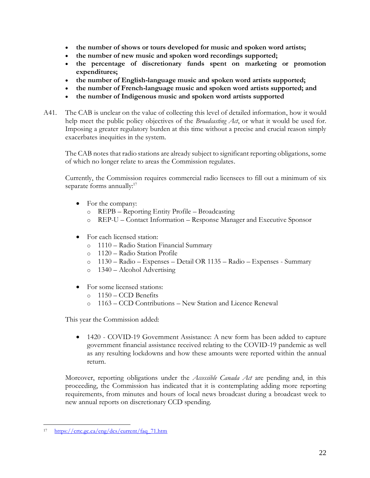- **the number of shows or tours developed for music and spoken word artists;**
- **the number of new music and spoken word recordings supported;**
- **the percentage of discretionary funds spent on marketing or promotion expenditures;**
- **the number of English-language music and spoken word artists supported;**
- **the number of French-language music and spoken word artists supported; and**
- **the number of Indigenous music and spoken word artists supported**
- A41. The CAB is unclear on the value of collecting this level of detailed information, how it would help meet the public policy objectives of the *Broadcasting Act*, or what it would be used for. Imposing a greater regulatory burden at this time without a precise and crucial reason simply exacerbates inequities in the system.

The CAB notes that radio stations are already subject to significant reporting obligations, some of which no longer relate to areas the Commission regulates.

Currently, the Commission requires commercial radio licensees to fill out a minimum of six separate forms annually:<sup>17</sup>

- For the company:
	- o REPB Reporting Entity Profile Broadcasting
	- o REP-U Contact Information Response Manager and Executive Sponsor
- For each licensed station:
	- o 1110 Radio Station Financial Summary
	- o 1120 Radio Station Profile
	- o 1130 Radio Expenses Detail OR 1135 Radio Expenses Summary
	- o 1340 Alcohol Advertising
- For some licensed stations:
	- o 1150 CCD Benefits
	- o 1163 CCD Contributions New Station and Licence Renewal

This year the Commission added:

• 1420 - COVID-19 Government Assistance: A new form has been added to capture government financial assistance received relating to the COVID-19 pandemic as well as any resulting lockdowns and how these amounts were reported within the annual return.

Moreover, reporting obligations under the *Accessible Canada Act* are pending and, in this proceeding, the Commission has indicated that it is contemplating adding more reporting requirements, from minutes and hours of local news broadcast during a broadcast week to new annual reports on discretionary CCD spending.

<sup>17</sup> [https://crtc.gc.ca/eng/dcs/current/faq\\_71.htm](https://crtc.gc.ca/eng/dcs/current/faq_71.htm)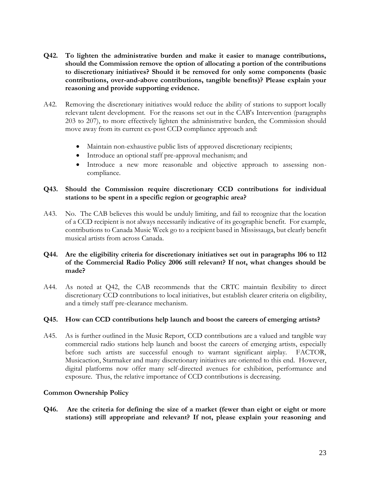- **Q42. To lighten the administrative burden and make it easier to manage contributions, should the Commission remove the option of allocating a portion of the contributions to discretionary initiatives? Should it be removed for only some components (basic contributions, over-and-above contributions, tangible benefits)? Please explain your reasoning and provide supporting evidence.**
- A42. Removing the discretionary initiatives would reduce the ability of stations to support locally relevant talent development. For the reasons set out in the CAB's Intervention (paragraphs 203 to 207), to more effectively lighten the administrative burden, the Commission should move away from its current ex-post CCD compliance approach and:
	- Maintain non-exhaustive public lists of approved discretionary recipients;
	- Introduce an optional staff pre-approval mechanism; and
	- Introduce a new more reasonable and objective approach to assessing noncompliance.

# **Q43. Should the Commission require discretionary CCD contributions for individual stations to be spent in a specific region or geographic area?**

A43. No. The CAB believes this would be unduly limiting, and fail to recognize that the location of a CCD recipient is not always necessarily indicative of its geographic benefit. For example, contributions to Canada Music Week go to a recipient based in Mississauga, but clearly benefit musical artists from across Canada.

# **Q44. Are the eligibility criteria for discretionary initiatives set out in paragraphs 106 to 112 of the Commercial Radio Policy 2006 still relevant? If not, what changes should be made?**

A44. As noted at Q42, the CAB recommends that the CRTC maintain flexibility to direct discretionary CCD contributions to local initiatives, but establish clearer criteria on eligibility, and a timely staff pre-clearance mechanism.

#### **Q45. How can CCD contributions help launch and boost the careers of emerging artists?**

A45. As is further outlined in the Music Report, CCD contributions are a valued and tangible way commercial radio stations help launch and boost the careers of emerging artists, especially before such artists are successful enough to warrant significant airplay. FACTOR, Musicaction, Starmaker and many discretionary initiatives are oriented to this end. However, digital platforms now offer many self-directed avenues for exhibition, performance and exposure. Thus, the relative importance of CCD contributions is decreasing.

#### **Common Ownership Policy**

**Q46. Are the criteria for defining the size of a market (fewer than eight or eight or more stations) still appropriate and relevant? If not, please explain your reasoning and**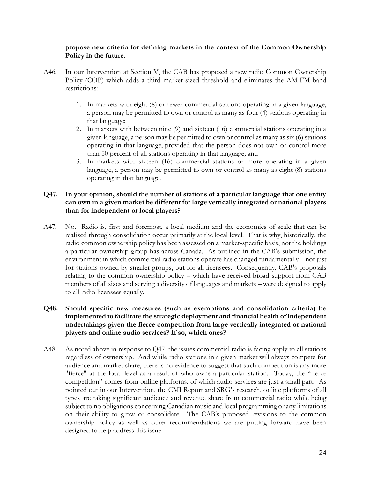#### **propose new criteria for defining markets in the context of the Common Ownership Policy in the future.**

- A46. In our Intervention at Section V, the CAB has proposed a new radio Common Ownership Policy (COP) which adds a third market-sized threshold and eliminates the AM-FM band restrictions:
	- 1. In markets with eight (8) or fewer commercial stations operating in a given language, a person may be permitted to own or control as many as four (4) stations operating in that language;
	- 2. In markets with between nine (9) and sixteen (16) commercial stations operating in a given language, a person may be permitted to own or control as many as six (6) stations operating in that language, provided that the person does not own or control more than 50 percent of all stations operating in that language; and
	- 3. In markets with sixteen (16) commercial stations or more operating in a given language, a person may be permitted to own or control as many as eight (8) stations operating in that language.

## **Q47. In your opinion, should the number of stations of a particular language that one entity can own in a given market be different for large vertically integrated or national players than for independent or local players?**

A47. No. Radio is, first and foremost, a local medium and the economies of scale that can be realized through consolidation occur primarily at the local level. That is why, historically, the radio common ownership policy has been assessed on a market-specific basis, not the holdings a particular ownership group has across Canada. As outlined in the CAB's submission, the environment in which commercial radio stations operate has changed fundamentally – not just for stations owned by smaller groups, but for all licensees. Consequently, CAB's proposals relating to the common ownership policy – which have received broad support from CAB members of all sizes and serving a diversity of languages and markets – were designed to apply to all radio licensees equally.

## **Q48. Should specific new measures (such as exemptions and consolidation criteria) be implemented to facilitate the strategic deployment and financial health of independent undertakings given the fierce competition from large vertically integrated or national players and online audio services? If so, which ones?**

A48. As noted above in response to Q47, the issues commercial radio is facing apply to all stations regardless of ownership. And while radio stations in a given market will always compete for audience and market share, there is no evidence to suggest that such competition is any more "fierce" at the local level as a result of who owns a particular station. Today, the "fierce competition" comes from online platforms, of which audio services are just a small part. As pointed out in our Intervention, the CMI Report and SRG's research, online platforms of all types are taking significant audience and revenue share from commercial radio while being subject to no obligations concerning Canadian music and local programming or any limitations on their ability to grow or consolidate. The CAB's proposed revisions to the common ownership policy as well as other recommendations we are putting forward have been designed to help address this issue.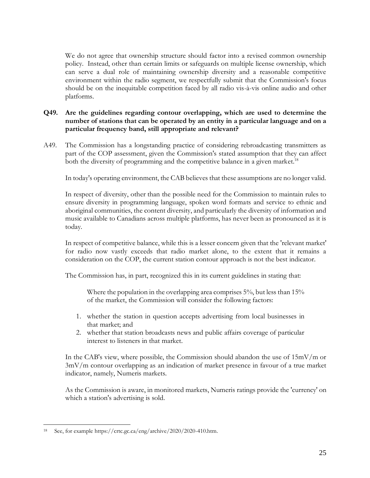We do not agree that ownership structure should factor into a revised common ownership policy. Instead, other than certain limits or safeguards on multiple license ownership, which can serve a dual role of maintaining ownership diversity and a reasonable competitive environment within the radio segment, we respectfully submit that the Commission's focus should be on the inequitable competition faced by all radio vis-à-vis online audio and other platforms.

# **Q49. Are the guidelines regarding contour overlapping, which are used to determine the number of stations that can be operated by an entity in a particular language and on a particular frequency band, still appropriate and relevant?**

A49. The Commission has a longstanding practice of considering rebroadcasting transmitters as part of the COP assessment, given the Commission's stated assumption that they can affect both the diversity of programming and the competitive balance in a given market.<sup>18</sup>

In today's operating environment, the CAB believes that these assumptions are no longer valid.

In respect of diversity, other than the possible need for the Commission to maintain rules to ensure diversity in programming language, spoken word formats and service to ethnic and aboriginal communities, the content diversity, and particularly the diversity of information and music available to Canadians across multiple platforms, has never been as pronounced as it is today.

In respect of competitive balance, while this is a lesser concern given that the 'relevant market' for radio now vastly exceeds that radio market alone, to the extent that it remains a consideration on the COP, the current station contour approach is not the best indicator.

The Commission has, in part, recognized this in its current guidelines in stating that:

Where the population in the overlapping area comprises 5%, but less than 15% of the market, the Commission will consider the following factors:

- 1. whether the station in question accepts advertising from local businesses in that market; and
- 2. whether that station broadcasts news and public affairs coverage of particular interest to listeners in that market.

In the CAB's view, where possible, the Commission should abandon the use of  $15mV/m$  or 3mV/m contour overlapping as an indication of market presence in favour of a true market indicator, namely, Numeris markets.

As the Commission is aware, in monitored markets, Numeris ratings provide the 'currency' on which a station's advertising is sold.

See, for example https://crtc.gc.ca/eng/archive/2020/2020-410.htm.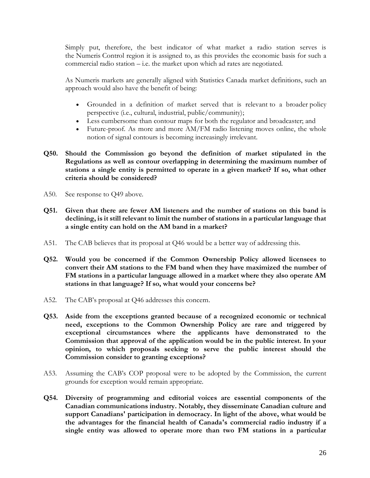Simply put, therefore, the best indicator of what market a radio station serves is the Numeris Control region it is assigned to, as this provides the economic basis for such a commercial radio station – i.e. the market upon which ad rates are negotiated.

As Numeris markets are generally aligned with Statistics Canada market definitions, such an approach would also have the benefit of being:

- Grounded in a definition of market served that is relevant to a broader policy perspective (i.e., cultural, industrial, public/community);
- Less cumbersome than contour maps for both the regulator and broadcaster; and
- Future-proof. As more and more AM/FM radio listening moves online, the whole notion of signal contours is becoming increasingly irrelevant.
- **Q50. Should the Commission go beyond the definition of market stipulated in the Regulations as well as contour overlapping in determining the maximum number of stations a single entity is permitted to operate in a given market? If so, what other criteria should be considered?**
- A50. See response to Q49 above.
- **Q51. Given that there are fewer AM listeners and the number of stations on this band is declining, is it still relevant to limit the number of stations in a particular language that a single entity can hold on the AM band in a market?**
- A51. The CAB believes that its proposal at Q46 would be a better way of addressing this.
- **Q52. Would you be concerned if the Common Ownership Policy allowed licensees to convert their AM stations to the FM band when they have maximized the number of FM stations in a particular language allowed in a market where they also operate AM stations in that language? If so, what would your concerns be?**
- A52. The CAB's proposal at Q46 addresses this concern.
- **Q53. Aside from the exceptions granted because of a recognized economic or technical need, exceptions to the Common Ownership Policy are rare and triggered by exceptional circumstances where the applicants have demonstrated to the Commission that approval of the application would be in the public interest. In your opinion, to which proposals seeking to serve the public interest should the Commission consider to granting exceptions?**
- A53. Assuming the CAB's COP proposal were to be adopted by the Commission, the current grounds for exception would remain appropriate.
- **Q54. Diversity of programming and editorial voices are essential components of the Canadian communications industry. Notably, they disseminate Canadian culture and support Canadians' participation in democracy. In light of the above, what would be the advantages for the financial health of Canada's commercial radio industry if a single entity was allowed to operate more than two FM stations in a particular**